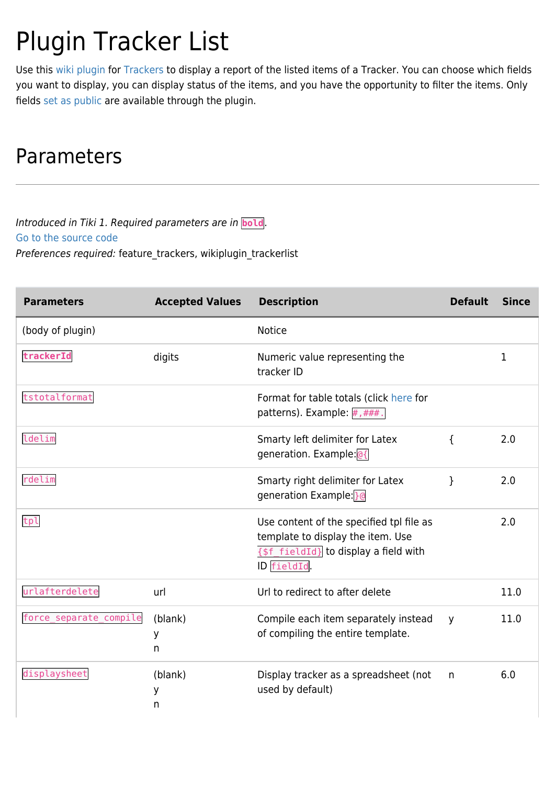# Plugin Tracker List

Use this [wiki plugin](https://doc.tiki.org/wiki%20plugin) for [Trackers](https://doc.tiki.org/Trackers) to display a report of the listed items of a Tracker. You can choose which fields you want to display, you can display status of the items, and you have the opportunity to filter the items. Only fields [set as public](http://doc.tiki.org/tiki-index.php?page=Adding+Fields+to+a+Tracker) are available through the plugin.

## Parameters

Introduced in Tiki 1. Required parameters are in **bold**. [Go to the source code](https://gitlab.com/tikiwiki/tiki/-/blob/master/lib/wiki-plugins/wikiplugin_trackerlist.php) Preferences required: feature\_trackers, wikiplugin\_trackerlist

| <b>Parameters</b>      | <b>Accepted Values</b> | <b>Description</b>                                                                                                                    | <b>Default</b> | <b>Since</b> |
|------------------------|------------------------|---------------------------------------------------------------------------------------------------------------------------------------|----------------|--------------|
| (body of plugin)       |                        | <b>Notice</b>                                                                                                                         |                |              |
| trackerId              | digits                 | Numeric value representing the<br>tracker ID                                                                                          |                | 1            |
| tstotalformat          |                        | Format for table totals (click here for<br>patterns). Example: #, ###.                                                                |                |              |
| ldelim                 |                        | Smarty left delimiter for Latex<br>generation. Example: 0{                                                                            | $\mathcal{L}$  | 2.0          |
| rdelim                 |                        | Smarty right delimiter for Latex<br>generation Example: 30                                                                            | }              | 2.0          |
| tpl                    |                        | Use content of the specified tpl file as<br>template to display the item. Use<br>{\$f_fieldId} to display a field with<br>ID fieldId. |                | 2.0          |
| urlafterdelete         | url                    | Url to redirect to after delete                                                                                                       |                | 11.0         |
| force_separate_compile | (blank)<br>У<br>n      | Compile each item separately instead<br>of compiling the entire template.                                                             | y              | 11.0         |
| displaysheet           | (blank)<br>у<br>n      | Display tracker as a spreadsheet (not<br>used by default)                                                                             | n              | 6.0          |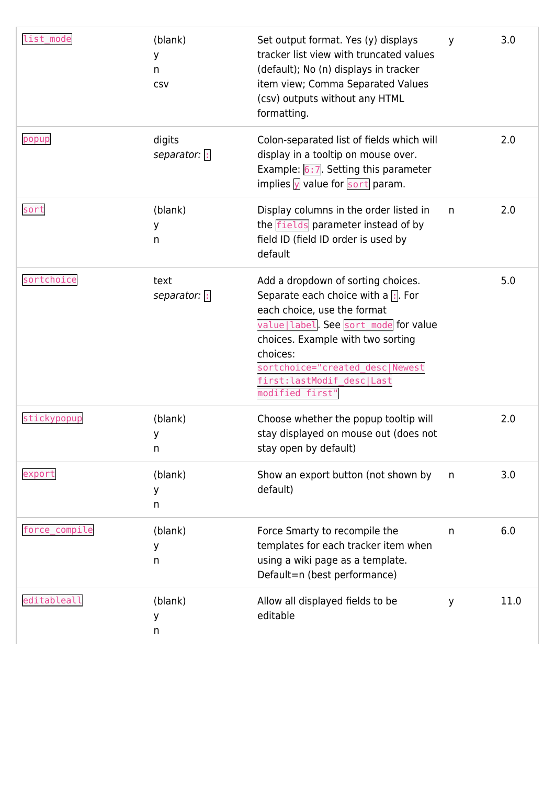| list_mode     | (blank)<br>У<br>n<br>CSV | Set output format. Yes (y) displays<br>tracker list view with truncated values<br>(default); No (n) displays in tracker<br>item view; Comma Separated Values<br>(csv) outputs without any HTML<br>formatting.                                                                                             | y  | 3.0  |
|---------------|--------------------------|-----------------------------------------------------------------------------------------------------------------------------------------------------------------------------------------------------------------------------------------------------------------------------------------------------------|----|------|
| popup         | digits<br>separator: :   | Colon-separated list of fields which will<br>display in a tooltip on mouse over.<br>Example: $6:7$ . Setting this parameter<br>implies $\sqrt{y}$ value for sort param.                                                                                                                                   |    | 2.0  |
| sort          | (blank)<br>у<br>n        | Display columns in the order listed in<br>the fields parameter instead of by<br>field ID (field ID order is used by<br>default                                                                                                                                                                            | n. | 2.0  |
| sortchoice    | text<br>separator: :     | Add a dropdown of sorting choices.<br>Separate each choice with a $\left  \cdot \right $ . For<br>each choice, use the format<br>value label. See sort_mode for value<br>choices. Example with two sorting<br>choices:<br>sortchoice="created desc Newest<br>first:lastModif_desc Last<br>modified first" |    | 5.0  |
| stickypopup   | (blank)<br>У<br>n.       | Choose whether the popup tooltip will<br>stay displayed on mouse out (does not<br>stay open by default)                                                                                                                                                                                                   |    | 2.0  |
| export        | (blank)<br>У<br>n        | Show an export button (not shown by<br>default)                                                                                                                                                                                                                                                           | n  | 3.0  |
| force_compile | (blank)<br>У<br>n        | Force Smarty to recompile the<br>templates for each tracker item when<br>using a wiki page as a template.<br>Default=n (best performance)                                                                                                                                                                 | n  | 6.0  |
| editableall   | (blank)<br>у<br>n        | Allow all displayed fields to be<br>editable                                                                                                                                                                                                                                                              | y  | 11.0 |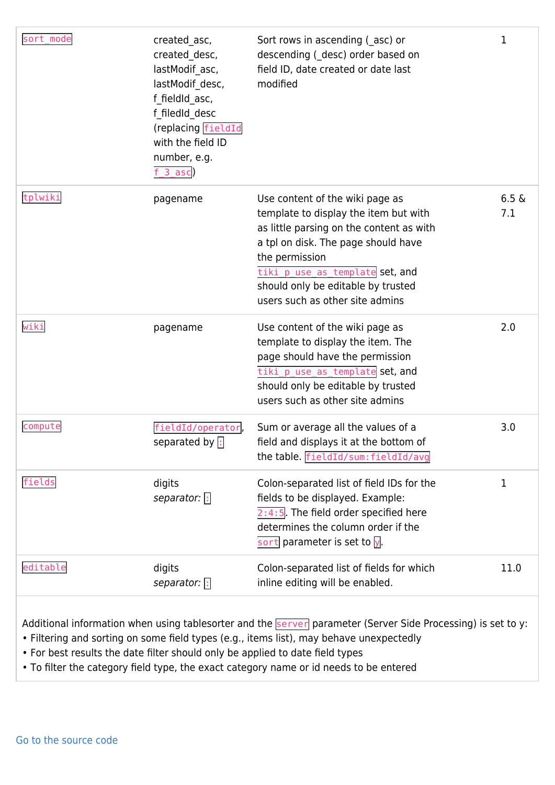| sort mode | created asc,<br>created desc,<br>lastModif asc,<br>lastModif desc,<br>f fieldId asc,<br>f filedId desc<br>(replacing fieldId<br>with the field ID<br>number, e.g.<br>$f_3_$ asc) | Sort rows in ascending (asc) or<br>descending (_desc) order based on<br>field ID, date created or date last<br>modified                                                                                                                                                                   | 1               |
|-----------|----------------------------------------------------------------------------------------------------------------------------------------------------------------------------------|-------------------------------------------------------------------------------------------------------------------------------------------------------------------------------------------------------------------------------------------------------------------------------------------|-----------------|
| tplwiki   | pagename                                                                                                                                                                         | Use content of the wiki page as<br>template to display the item but with<br>as little parsing on the content as with<br>a tpl on disk. The page should have<br>the permission<br>tiki p_use_as_template set, and<br>should only be editable by trusted<br>users such as other site admins | $6.5 \&$<br>7.1 |
| wiki      | pagename                                                                                                                                                                         | Use content of the wiki page as<br>template to display the item. The<br>page should have the permission<br>tiki_p_use_as_template set, and<br>should only be editable by trusted<br>users such as other site admins                                                                       | 2.0             |
| compute   | fieldId/operator,<br>separated by  :                                                                                                                                             | Sum or average all the values of a<br>field and displays it at the bottom of<br>the table. fieldId/sum: fieldId/avg                                                                                                                                                                       | 3.0             |
| fields    | digits<br>separator: $\boxed{\cdot}$                                                                                                                                             | Colon-separated list of field IDs for the<br>fields to be displayed. Example:<br>$2:4:5$ . The field order specified here<br>determines the column order if the<br>sort parameter is set to $\overline{y}$ .                                                                              | 1               |
| editable  | digits<br>separator: :                                                                                                                                                           | Colon-separated list of fields for which<br>inline editing will be enabled.                                                                                                                                                                                                               | 11.0            |

Additional information when using tablesorter and the **Server** parameter (Server Side Processing) is set to y:

- Filtering and sorting on some field types (e.g., items list), may behave unexpectedly
- For best results the date filter should only be applied to date field types
- To filter the category field type, the exact category name or id needs to be entered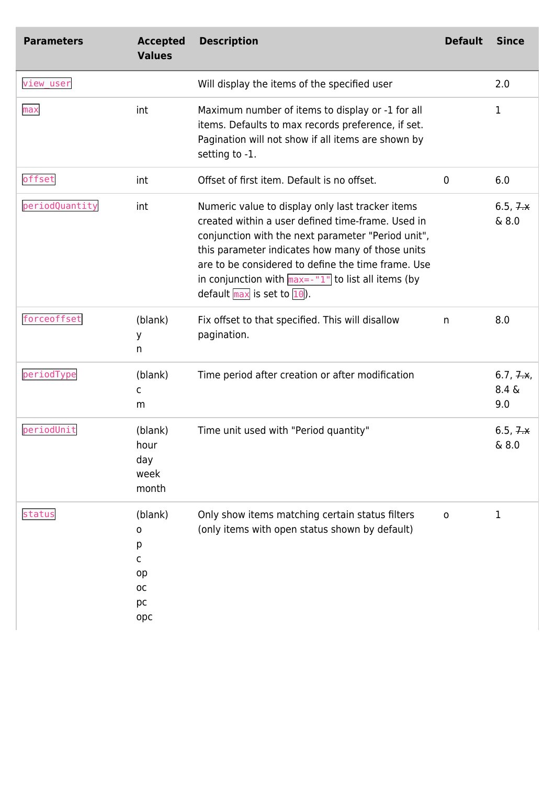| <b>Parameters</b> | <b>Accepted</b><br><b>Values</b>                       | <b>Description</b>                                                                                                                                                                                                                                                                                                                                                                                       | <b>Default</b> | <b>Since</b>                 |
|-------------------|--------------------------------------------------------|----------------------------------------------------------------------------------------------------------------------------------------------------------------------------------------------------------------------------------------------------------------------------------------------------------------------------------------------------------------------------------------------------------|----------------|------------------------------|
| view_user         |                                                        | Will display the items of the specified user                                                                                                                                                                                                                                                                                                                                                             |                | 2.0                          |
| max               | int                                                    | Maximum number of items to display or -1 for all<br>items. Defaults to max records preference, if set.<br>Pagination will not show if all items are shown by<br>setting to -1.                                                                                                                                                                                                                           |                | 1                            |
| offset            | int                                                    | Offset of first item. Default is no offset.                                                                                                                                                                                                                                                                                                                                                              | 0              | 6.0                          |
| periodQuantity    | int                                                    | Numeric value to display only last tracker items<br>created within a user defined time-frame. Used in<br>conjunction with the next parameter "Period unit",<br>this parameter indicates how many of those units<br>are to be considered to define the time frame. Use<br>in conjunction with $max=-1$ <sup>n</sup> to list all items (by<br>default $\overline{\text{max}}$ is set to $\overline{10}$ ). |                | 6.5, <i>7.4</i><br>& 8.0     |
| forceoffset       | (blank)<br>У<br>n                                      | Fix offset to that specified. This will disallow<br>pagination.                                                                                                                                                                                                                                                                                                                                          | n              | 8.0                          |
| periodType        | (blank)<br>C<br>m                                      | Time period after creation or after modification                                                                                                                                                                                                                                                                                                                                                         |                | 6.7, 7.4,<br>$8.4 \&$<br>9.0 |
| periodUnit        | (blank)<br>hour<br>day<br>week<br>month                | Time unit used with "Period quantity"                                                                                                                                                                                                                                                                                                                                                                    |                | 6.5, <i>7.4</i><br>& 8.0     |
| status            | (blank)<br>0<br>р<br>C<br>op<br><b>OC</b><br>pc<br>opc | Only show items matching certain status filters<br>(only items with open status shown by default)                                                                                                                                                                                                                                                                                                        | $\mathbf 0$    | 1                            |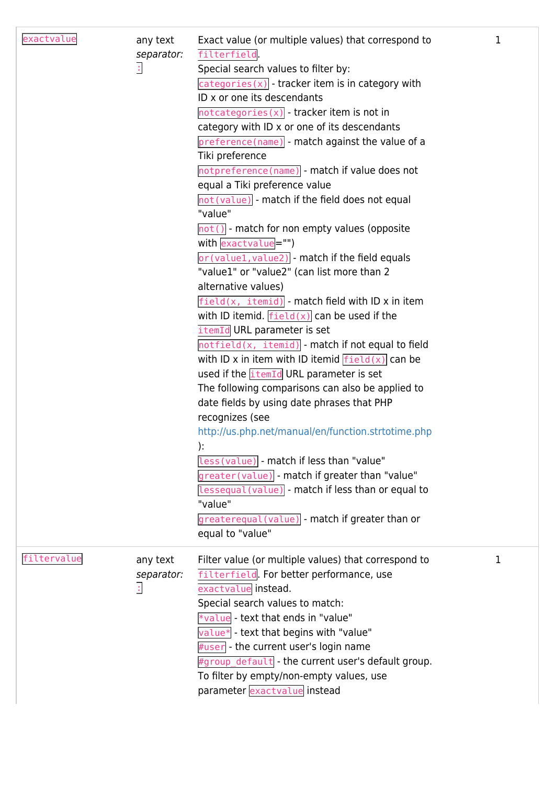| exactvalue  | any text<br>separator:<br>$\mathbb{C}$  | Exact value (or multiple values) that correspond to<br>filterfield.<br>Special search values to filter by:<br>$\left[\text{categories (x)}\right]$ - tracker item is in category with<br>ID x or one its descendants<br>$notcategories(x)$ - tracker item is not in<br>category with ID x or one of its descendants<br>preference(name) - match against the value of a<br>Tiki preference<br>notpreference(name) - match if value does not<br>equal a Tiki preference value<br>not (value) - match if the field does not equal<br>"value"<br>$ $ not() - match for non empty values (opposite<br>with exactvalue="")<br>or (value1, value2) - match if the field equals<br>"value1" or "value2" (can list more than 2<br>alternative values)<br>$field(x, itemid)$ - match field with ID x in item<br>with ID itemid. $\boxed{\text{field}(x)}$ can be used if the<br>itemId URL parameter is set<br>$notfield(x, itemid)$ - match if not equal to field<br>with ID x in item with ID itemid $\frac{field(x)}{g$ can be<br>used if the itemId URL parameter is set<br>The following comparisons can also be applied to<br>date fields by using date phrases that PHP<br>recognizes (see<br>http://us.php.net/manual/en/function.strtotime.php<br>):<br>less (value) - match if less than "value"<br>greater(value) - match if greater than "value"<br>lessequal (value) - match if less than or equal to<br>"value"<br>greaterequal(value) - match if greater than or<br>equal to "value" | 1 |
|-------------|-----------------------------------------|-------------------------------------------------------------------------------------------------------------------------------------------------------------------------------------------------------------------------------------------------------------------------------------------------------------------------------------------------------------------------------------------------------------------------------------------------------------------------------------------------------------------------------------------------------------------------------------------------------------------------------------------------------------------------------------------------------------------------------------------------------------------------------------------------------------------------------------------------------------------------------------------------------------------------------------------------------------------------------------------------------------------------------------------------------------------------------------------------------------------------------------------------------------------------------------------------------------------------------------------------------------------------------------------------------------------------------------------------------------------------------------------------------------------------------------------------------------------------------------------|---|
| filtervalue | any text<br>separator:<br>$\ddot{\phi}$ | Filter value (or multiple values) that correspond to<br>filterfield. For better performance, use<br>exactvalue instead.<br>Special search values to match:<br>*value - text that ends in "value"<br>$value*$ - text that begins with "value"<br>#user - the current user's login name<br>#group_default - the current user's default group.<br>To filter by empty/non-empty values, use<br>parameter exactvalue instead                                                                                                                                                                                                                                                                                                                                                                                                                                                                                                                                                                                                                                                                                                                                                                                                                                                                                                                                                                                                                                                                   | 1 |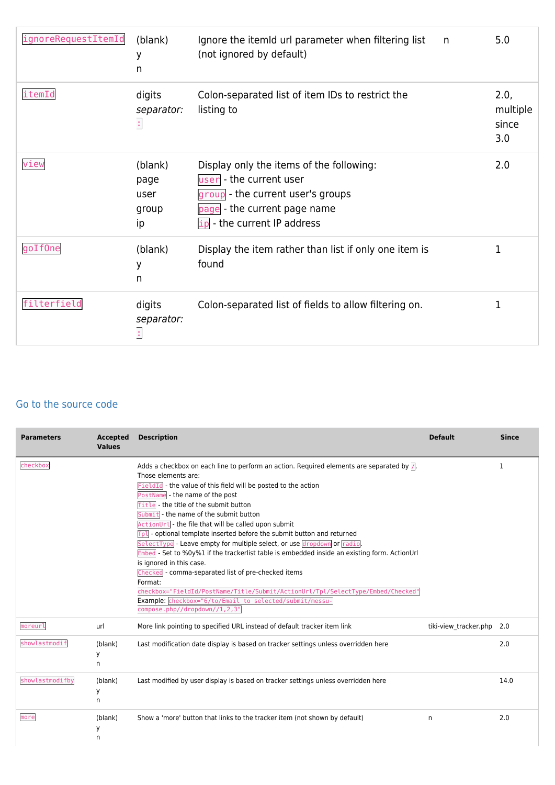| ignoreRequestItemId | (blank)<br>У<br>n                      | Ignore the itemid url parameter when filtering list<br>n<br>(not ignored by default)                                                                                      | 5.0                              |
|---------------------|----------------------------------------|---------------------------------------------------------------------------------------------------------------------------------------------------------------------------|----------------------------------|
| itemId              | digits<br>separator:<br>ţ.             | Colon-separated list of item IDs to restrict the<br>listing to                                                                                                            | 2.0,<br>multiple<br>since<br>3.0 |
| view                | (blank)<br>page<br>user<br>group<br>ip | Display only the items of the following:<br>user - the current user<br>group - the current user's groups<br>page - the current page name<br>$ip$ - the current IP address | 2.0                              |
| goIf0ne             | (blank)<br>У<br>n                      | Display the item rather than list if only one item is<br>found                                                                                                            | 1                                |
| filterfield         | digits<br>separator:<br>Î,             | Colon-separated list of fields to allow filtering on.                                                                                                                     | 1                                |

#### [Go to the source code](https://gitlab.com/tikiwiki/tiki/-/blob/master/lib/wiki-plugins/wikiplugin_trackerlist.php)

| <b>Parameters</b> | <b>Accepted</b><br><b>Values</b> | <b>Description</b>                                                                                                                                                                                                                                                                                                                                                                                                                                                                                                                                                                                                                                                                                                                                                                                                                                                                                           | <b>Default</b>        | <b>Since</b> |
|-------------------|----------------------------------|--------------------------------------------------------------------------------------------------------------------------------------------------------------------------------------------------------------------------------------------------------------------------------------------------------------------------------------------------------------------------------------------------------------------------------------------------------------------------------------------------------------------------------------------------------------------------------------------------------------------------------------------------------------------------------------------------------------------------------------------------------------------------------------------------------------------------------------------------------------------------------------------------------------|-----------------------|--------------|
| checkbox          |                                  | Adds a checkbox on each line to perform an action. Required elements are separated by $\sqrt{2}$ .<br>Those elements are:<br>FieldId - the value of this field will be posted to the action<br>PostName - the name of the post<br>Title - the title of the submit button<br>Submit - the name of the submit button<br>ActionUrl - the file that will be called upon submit<br>Tpl - optional template inserted before the submit button and returned<br>SelectType - Leave empty for multiple select, or use dropdown or radio.<br>Embed - Set to %0y%1 if the trackerlist table is embedded inside an existing form. ActionUrl<br>is ignored in this case.<br>Checked - comma-separated list of pre-checked items<br>Format:<br>checkbox="FieldId/PostName/Title/Submit/ActionUrl/Tpl/SelectType/Embed/Checked"<br>Example: checkbox="6/to/Email to selected/submit/messu-<br>compose.php//dropdown//1,2,3" |                       | 1            |
| moreurl           | url                              | More link pointing to specified URL instead of default tracker item link                                                                                                                                                                                                                                                                                                                                                                                                                                                                                                                                                                                                                                                                                                                                                                                                                                     | tiki-view tracker.php | 2.0          |
| showlastmodif     | (blank)<br>У<br>n                | Last modification date display is based on tracker settings unless overridden here                                                                                                                                                                                                                                                                                                                                                                                                                                                                                                                                                                                                                                                                                                                                                                                                                           |                       | 2.0          |
| showlastmodifby   | (blank)<br>у<br>n                | Last modified by user display is based on tracker settings unless overridden here                                                                                                                                                                                                                                                                                                                                                                                                                                                                                                                                                                                                                                                                                                                                                                                                                            |                       | 14.0         |
| more              | (blank)<br>У<br>n                | Show a 'more' button that links to the tracker item (not shown by default)                                                                                                                                                                                                                                                                                                                                                                                                                                                                                                                                                                                                                                                                                                                                                                                                                                   | n                     | 2.0          |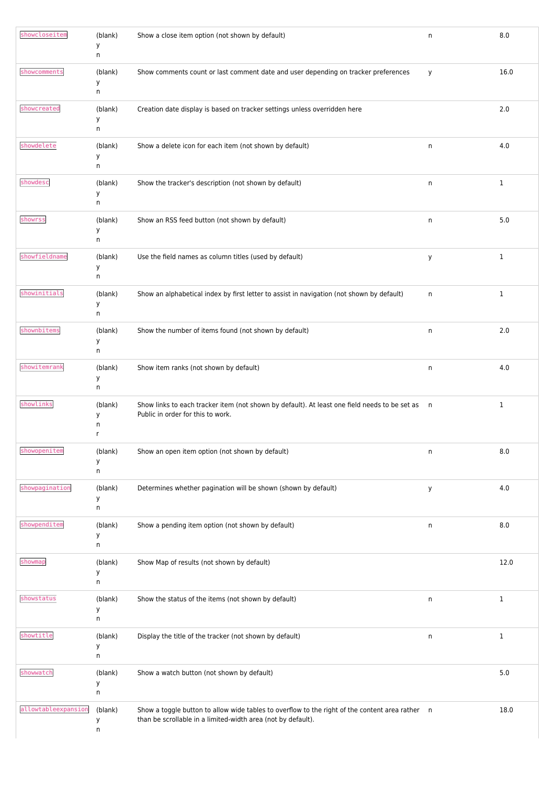| showcloseitem       | (blank)<br>у<br>n      | Show a close item option (not shown by default)                                                                                                                 | $\sf n$ | 8.0          |
|---------------------|------------------------|-----------------------------------------------------------------------------------------------------------------------------------------------------------------|---------|--------------|
| showcomments        | (blank)<br>у<br>n      | Show comments count or last comment date and user depending on tracker preferences                                                                              | y       | 16.0         |
| showcreated         | (blank)<br>у<br>n      | Creation date display is based on tracker settings unless overridden here                                                                                       |         | 2.0          |
| showdelete          | (blank)<br>у<br>n      | Show a delete icon for each item (not shown by default)                                                                                                         | n       | 4.0          |
| showdesc            | (blank)<br>у<br>n      | Show the tracker's description (not shown by default)                                                                                                           | n       | $\mathbf{1}$ |
| showrss             | (blank)<br>у<br>n      | Show an RSS feed button (not shown by default)                                                                                                                  | n       | 5.0          |
| showfieldname       | (blank)<br>у<br>n      | Use the field names as column titles (used by default)                                                                                                          | у       | $\mathbf{1}$ |
| showinitials        | (blank)<br>у<br>n      | Show an alphabetical index by first letter to assist in navigation (not shown by default)                                                                       | n       | $\mathbf{1}$ |
| shownbitems         | (blank)<br>у<br>n      | Show the number of items found (not shown by default)                                                                                                           | n       | 2.0          |
| showitemrank        | (blank)<br>у<br>n      | Show item ranks (not shown by default)                                                                                                                          | n       | 4.0          |
| showlinks           | (blank)<br>у<br>n<br>r | Show links to each tracker item (not shown by default). At least one field needs to be set as n<br>Public in order for this to work.                            |         | 1            |
| showopenitem        | (blank)<br>у<br>n      | Show an open item option (not shown by default)                                                                                                                 | n       | 8.0          |
| showpagination      | (blank)<br>у<br>n      | Determines whether pagination will be shown (shown by default)                                                                                                  | у       | 4.0          |
| showpenditem        | (blank)<br>у<br>n      | Show a pending item option (not shown by default)                                                                                                               | n       | 8.0          |
| showmap             | (blank)<br>у<br>n      | Show Map of results (not shown by default)                                                                                                                      |         | 12.0         |
| showstatus          | (blank)<br>у<br>n      | Show the status of the items (not shown by default)                                                                                                             | n       | $\mathbf{1}$ |
| showtitle           | (blank)<br>у<br>n      | Display the title of the tracker (not shown by default)                                                                                                         | n       | $\mathbf{1}$ |
| showwatch           | (blank)<br>у<br>n      | Show a watch button (not shown by default)                                                                                                                      |         | 5.0          |
| allowtableexpansion | (blank)<br>у<br>n      | Show a toggle button to allow wide tables to overflow to the right of the content area rather n<br>than be scrollable in a limited-width area (not by default). |         | 18.0         |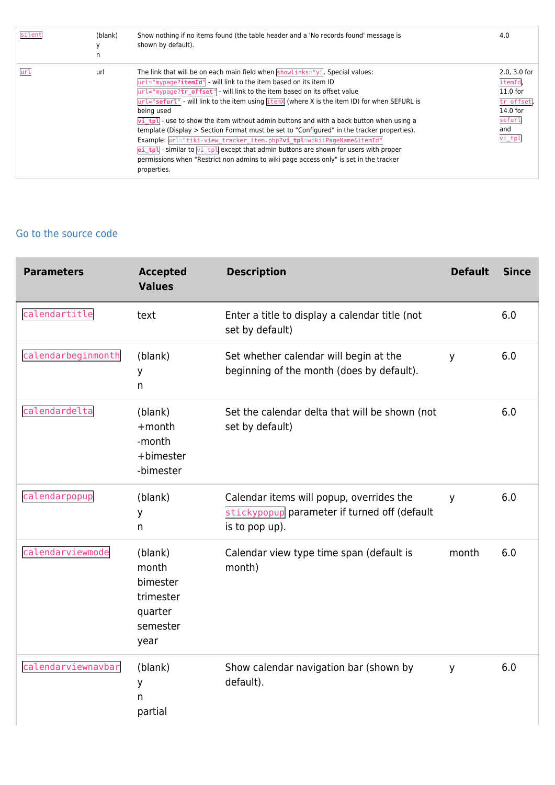| silent | (blank)<br>n | Show nothing if no items found (the table header and a 'No records found' message is<br>shown by default).                                                                                                                                                                                                                                                                                                                                                                                                                                                                                                                                                                                                                                                                                                                                       | 4.0                                                                                         |
|--------|--------------|--------------------------------------------------------------------------------------------------------------------------------------------------------------------------------------------------------------------------------------------------------------------------------------------------------------------------------------------------------------------------------------------------------------------------------------------------------------------------------------------------------------------------------------------------------------------------------------------------------------------------------------------------------------------------------------------------------------------------------------------------------------------------------------------------------------------------------------------------|---------------------------------------------------------------------------------------------|
| url    | url          | The link that will be on each main field when $showlinks="V''$ . Special values:<br>url="mypage?itemId" - will link to the item based on its item ID<br>$ur1="mypage?tr$ offset" - will link to the item based on its offset value<br>$url="setur="" - will link to the item using itemX (where X is the item ID) for when SEFURL is$<br>being used<br>$\overline{vi}$ tpl - use to show the item without admin buttons and with a back button when using a<br>template (Display > Section Format must be set to "Configured" in the tracker properties).<br>Example: url="tiki-view tracker item.php?vi tpl=wiki:PageName&itemId"<br>ei tpl - similar to $\overline{v_1}$ tpl except that admin buttons are shown for users with proper<br>permissions when "Restrict non admins to wiki page access only" is set in the tracker<br>properties. | 2.0, 3.0 for<br>itemId,<br>$11.0$ for<br>tr offset<br>$14.0$ for<br>sefurl<br>and<br>vi_tpl |

#### [Go to the source code](https://gitlab.com/tikiwiki/tiki/-/blob/master/lib/wiki-plugins/wikiplugin_trackerlist.php)

| <b>Parameters</b>  | <b>Accepted</b><br><b>Values</b>                                         | <b>Description</b>                                                                                         | <b>Default</b> | <b>Since</b> |
|--------------------|--------------------------------------------------------------------------|------------------------------------------------------------------------------------------------------------|----------------|--------------|
| calendartitle      | text                                                                     | Enter a title to display a calendar title (not<br>set by default)                                          |                | 6.0          |
| calendarbeginmonth | (blank)<br>У<br>n                                                        | Set whether calendar will begin at the<br>beginning of the month (does by default).                        | y              | 6.0          |
| calendardelta      | (blank)<br>$+$ month<br>-month<br>+bimester<br>-bimester                 | Set the calendar delta that will be shown (not<br>set by default)                                          |                | 6.0          |
| calendarpopup      | (blank)<br>У<br>n.                                                       | Calendar items will popup, overrides the<br>stickypopup parameter if turned off (default<br>is to pop up). | y              | 6.0          |
| calendarviewmode   | (blank)<br>month<br>bimester<br>trimester<br>quarter<br>semester<br>year | Calendar view type time span (default is<br>month)                                                         | month          | 6.0          |
| calendarviewnavbar | (blank)<br>У<br>n.<br>partial                                            | Show calendar navigation bar (shown by<br>default).                                                        | y              | 6.0          |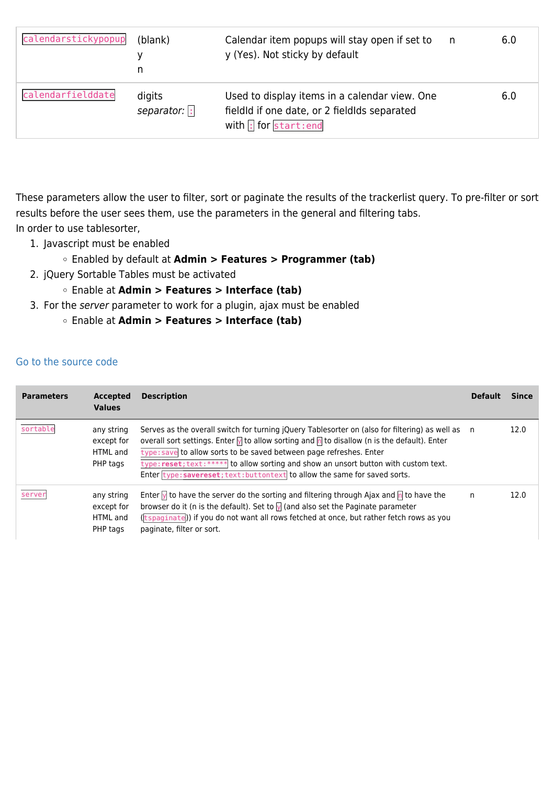| calendarstickypopup | (blank)<br>n                | Calendar item popups will stay open if set to<br>y (Yes). Not sticky by default                                                             | n, | 6.0 |
|---------------------|-----------------------------|---------------------------------------------------------------------------------------------------------------------------------------------|----|-----|
| calendarfielddate   | digits<br>separator: $\Box$ | Used to display items in a calendar view. One<br>fieldld if one date, or 2 fieldlds separated<br>with $\left  \cdot \right $ for start: end |    | 6.0 |

These parameters allow the user to filter, sort or paginate the results of the trackerlist query. To pre-filter or sort results before the user sees them, use the parameters in the general and filtering tabs. In order to use tablesorter,

- 1. Javascript must be enabled
	- Enabled by default at **Admin > Features > Programmer (tab)**
- 2. jQuery Sortable Tables must be activated
	- Enable at **Admin > Features > Interface (tab)**
- 3. For the server parameter to work for a plugin, ajax must be enabled
	- Enable at **Admin > Features > Interface (tab)**

#### [Go to the source code](https://gitlab.com/tikiwiki/tiki/-/blob/master/lib/wiki-plugins/wikiplugin_trackerlist.php)

| <b>Parameters</b> | <b>Accepted</b><br><b>Values</b>                 | <b>Description</b>                                                                                                                                                                                                                                                                                                                                                                                                                                              | <b>Default</b> | Since |
|-------------------|--------------------------------------------------|-----------------------------------------------------------------------------------------------------------------------------------------------------------------------------------------------------------------------------------------------------------------------------------------------------------------------------------------------------------------------------------------------------------------------------------------------------------------|----------------|-------|
| sortable          | any string<br>except for<br>HTML and<br>PHP tags | Serves as the overall switch for turning jQuery Tablesorter on (also for filtering) as well as n<br>overall sort settings. Enter $\sqrt{ }$ to allow sorting and $\sqrt{n}$ to disallow (n is the default). Enter<br>type: save to allow sorts to be saved between page refreshes. Enter<br>type: reset; text: ***** to allow sorting and show an unsort button with custom text.<br>Enter type: savereset; text: buttontext to allow the same for saved sorts. |                | 12.0  |
| server            | any string<br>except for<br>HTML and<br>PHP tags | Enter $\sqrt{ }$ to have the server do the sorting and filtering through Ajax and $\sqrt{n}$ to have the<br>browser do it (n is the default). Set to $\sqrt{ }$ (and also set the Paginate parameter<br>(tspaginate)) if you do not want all rows fetched at once, but rather fetch rows as you<br>paginate, filter or sort.                                                                                                                                    | n              | 12.0  |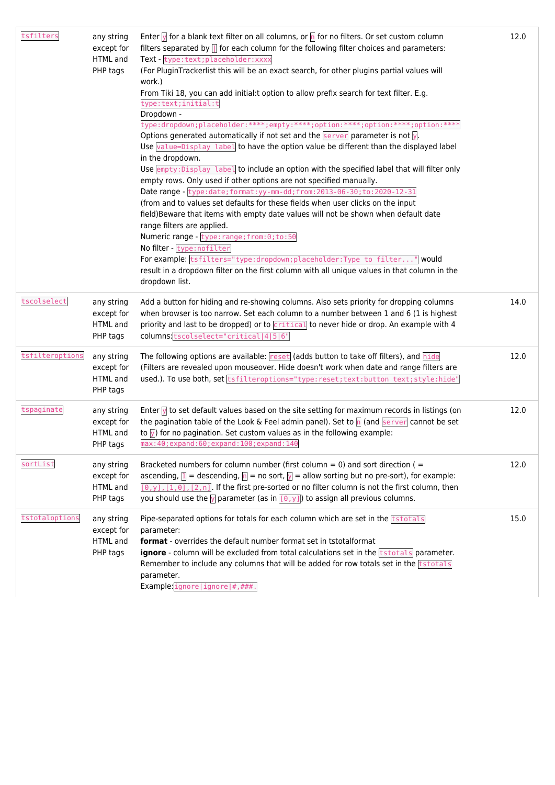| tsfilters       | any string<br>except for<br>HTML and<br>PHP tags | Enter $\overline{y}$ for a blank text filter on all columns, or $\overline{p}$ for no filters. Or set custom column<br>filters separated by $\left\  \right\ $ for each column for the following filter choices and parameters:<br>Text - type:text; placeholder: xxxx<br>(For PluginTrackerlist this will be an exact search, for other plugins partial values will<br>work.)<br>From Tiki 18, you can add initial:t option to allow prefix search for text filter. E.g.<br>type:text;initial:t<br>Dropdown -<br>type:dropdown;placeholder:****;empty:****;option:****;option:****;option:****<br>Options generated automatically if not set and the $\frac{1}{1}$ server parameter is not $\sqrt{2}$ .<br>Use value=Display label to have the option value be different than the displayed label<br>in the dropdown.<br>Use empty: Display label to include an option with the specified label that will filter only<br>empty rows. Only used if other options are not specified manually.<br>Date range - type: date; format: yy-mm-dd; from: 2013-06-30; to: 2020-12-31<br>(from and to values set defaults for these fields when user clicks on the input<br>field)Beware that items with empty date values will not be shown when default date<br>range filters are applied.<br>Numeric range - type: range; from: 0; to: 50<br>No filter - type: nofilter<br>For example: tsfilters="type:dropdown; placeholder: Type to filter" would<br>result in a dropdown filter on the first column with all unique values in that column in the<br>dropdown list. | 12.0 |
|-----------------|--------------------------------------------------|-----------------------------------------------------------------------------------------------------------------------------------------------------------------------------------------------------------------------------------------------------------------------------------------------------------------------------------------------------------------------------------------------------------------------------------------------------------------------------------------------------------------------------------------------------------------------------------------------------------------------------------------------------------------------------------------------------------------------------------------------------------------------------------------------------------------------------------------------------------------------------------------------------------------------------------------------------------------------------------------------------------------------------------------------------------------------------------------------------------------------------------------------------------------------------------------------------------------------------------------------------------------------------------------------------------------------------------------------------------------------------------------------------------------------------------------------------------------------------------------------------------------------------------------------------------------|------|
| tscolselect     | any string<br>except for<br>HTML and<br>PHP tags | Add a button for hiding and re-showing columns. Also sets priority for dropping columns<br>when browser is too narrow. Set each column to a number between 1 and 6 (1 is highest<br>priority and last to be dropped) or to critical to never hide or drop. An example with 4<br>columns: tscolselect="critical 4 5 6"                                                                                                                                                                                                                                                                                                                                                                                                                                                                                                                                                                                                                                                                                                                                                                                                                                                                                                                                                                                                                                                                                                                                                                                                                                           | 14.0 |
| tsfilteroptions | any string<br>except for<br>HTML and<br>PHP tags | The following options are available: reset (adds button to take off filters), and hide<br>(Filters are revealed upon mouseover. Hide doesn't work when date and range filters are<br>used.). To use both, set tsfilteroptions="type:reset;text:button text;style:hide"                                                                                                                                                                                                                                                                                                                                                                                                                                                                                                                                                                                                                                                                                                                                                                                                                                                                                                                                                                                                                                                                                                                                                                                                                                                                                          | 12.0 |
| tspaginate      | any string<br>except for<br>HTML and<br>PHP tags | Enter $\sqrt{ }$ to set default values based on the site setting for maximum records in listings (on<br>the pagination table of the Look & Feel admin panel). Set to $\sqrt{n}$ (and server cannot be set<br>to $\sqrt{y}$ ) for no pagination. Set custom values as in the following example:<br>max: 40; expand: 60; expand: 100; expand: 140                                                                                                                                                                                                                                                                                                                                                                                                                                                                                                                                                                                                                                                                                                                                                                                                                                                                                                                                                                                                                                                                                                                                                                                                                 | 12.0 |
| sortList        | any string<br>except for<br>HTML and<br>PHP tags | Bracketed numbers for column number (first column = 0) and sort direction ( $=$<br>ascending, $\boxed{1}$ = descending, $\boxed{n}$ = no sort, $\boxed{y}$ = allow sorting but no pre-sort), for example:<br>$[0, y]$ , $[1, 0]$ , $[2, n]$ . If the first pre-sorted or no filter column is not the first column, then<br>you should use the $\overline{y}$ parameter (as in $\overline{[0,y]}$ ) to assign all previous columns.                                                                                                                                                                                                                                                                                                                                                                                                                                                                                                                                                                                                                                                                                                                                                                                                                                                                                                                                                                                                                                                                                                                              | 12.0 |
| tstotaloptions  | any string<br>except for<br>HTML and<br>PHP tags | Pipe-separated options for totals for each column which are set in the <b>tstotals</b><br>parameter:<br><b>format</b> - overrides the default number format set in tstotalformat<br>ignore - column will be excluded from total calculations set in the <b>tstotals</b> parameter.<br>Remember to include any columns that will be added for row totals set in the <b>tstotals</b><br>parameter.<br>Example: $igmore ignore $ #,###.                                                                                                                                                                                                                                                                                                                                                                                                                                                                                                                                                                                                                                                                                                                                                                                                                                                                                                                                                                                                                                                                                                                            | 15.0 |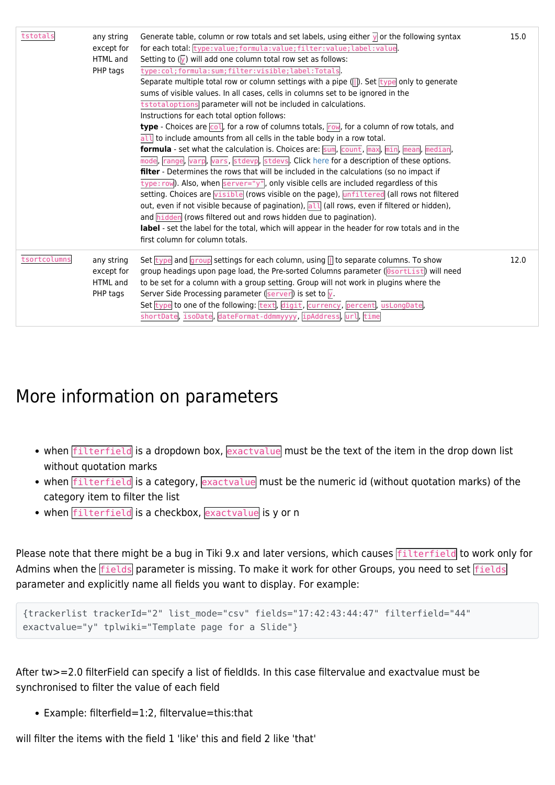| tstotals     | any string<br>except for<br>HTML and<br>PHP tags | Generate table, column or row totals and set labels, using either $\sqrt{ }$ or the following syntax<br>for each total: type: value; formula: value; filter: value; label: value<br>Setting to $(\sqrt{y})$ will add one column total row set as follows:<br>type:col;formula:sum;filter:visible;label:Totals<br>Separate multiple total row or column settings with a pipe $($ $)$ . Set type only to generate<br>sums of visible values. In all cases, cells in columns set to be ignored in the<br>tstotaloptions parameter will not be included in calculations.<br>Instructions for each total option follows:<br><b>type</b> - Choices are $\overline{col}$ , for a row of columns totals, $\overline{row}$ , for a column of row totals, and<br>all to include amounts from all cells in the table body in a row total.<br>formula - set what the calculation is. Choices are: $\frac{1}{5}$ count, $\frac{1}{2}$ max, $\frac{1}{2}$ min, $\frac{1}{2}$ mean, $\frac{1}{2}$ median,<br>mode, range, varp, vars, stdevp, stdevs. Click here for a description of these options.<br><b>filter</b> - Determines the rows that will be included in the calculations (so no impact if<br>$\overline{type:row}$ ). Also, when $\overline{server='y"}$ , only visible cells are included regardless of this<br>setting. Choices are visible (rows visible on the page), unfiltered (all rows not filtered<br>out, even if not visible because of pagination), all (all rows, even if filtered or hidden),<br>and hidden (rows filtered out and rows hidden due to pagination).<br>label - set the label for the total, which will appear in the header for row totals and in the<br>first column for column totals. | 15.0 |
|--------------|--------------------------------------------------|---------------------------------------------------------------------------------------------------------------------------------------------------------------------------------------------------------------------------------------------------------------------------------------------------------------------------------------------------------------------------------------------------------------------------------------------------------------------------------------------------------------------------------------------------------------------------------------------------------------------------------------------------------------------------------------------------------------------------------------------------------------------------------------------------------------------------------------------------------------------------------------------------------------------------------------------------------------------------------------------------------------------------------------------------------------------------------------------------------------------------------------------------------------------------------------------------------------------------------------------------------------------------------------------------------------------------------------------------------------------------------------------------------------------------------------------------------------------------------------------------------------------------------------------------------------------------------------------------------------------------------------------------------------------------------------------------------------------|------|
| tsortcolumns | any string<br>except for<br>HTML and<br>PHP tags | Set $\frac{1}{\sqrt{1-\frac{1}{\sqrt{1-\frac{1}{\sqrt{1-\frac{1}{\sqrt{1-\frac{1}{\sqrt{1-\frac{1}{\sqrt{1-\frac{1}{\sqrt{1-\frac{1}{\sqrt{1-\frac{1}{\sqrt{1-\frac{1}{\sqrt{1-\frac{1}{\sqrt{1-\frac{1}{\sqrt{1-\frac{1}{\sqrt{1-\frac{1}{\sqrt{1-\frac{1}{\sqrt{1-\frac{1}{\sqrt{1-\frac{1}{\sqrt{1-\frac{1}{\sqrt{1-\frac{1}{\sqrt{1-\frac{1}{\sqrt{1-\frac{1}{\sqrt{1-\frac{1}{\sqrt{1-\frac{1}{\sqrt{1-\frac{1}{\sqrt{1$<br>group headings upon page load, the Pre-sorted Columns parameter (OsortList) will need<br>to be set for a column with a group setting. Group will not work in plugins where the<br>Server Side Processing parameter ( $\sqrt{\text{server}}$ ) is set to $\sqrt{y}$ .<br>Set type to one of the following: text, digit, currency, percent, usLongDate,<br>shortDate, isoDate, dateFormat-ddmmyyyy, ipAddress, url, time                                                                                                                                                                                                                                                                                                                                                                                                                                                                                                                                                                                                                                                                                                                                                                                                                                                             | 12.0 |

## More information on parameters

- when filterfield is a dropdown box, exactvalue must be the text of the item in the drop down list without quotation marks
- when filterfield is a category, exactvalue must be the numeric id (without quotation marks) of the category item to filter the list
- when filterfield is a checkbox, exactvalue is y or n

Please note that there might be a bug in Tiki 9.x and later versions, which causes **filterfield** to work only for Admins when the **fields** parameter is missing. To make it work for other Groups, you need to set **fields** parameter and explicitly name all fields you want to display. For example:

```
{trackerlist trackerId="2" list_mode="csv" fields="17:42:43:44:47" filterfield="44"
exactvalue="y" tplwiki="Template page for a Slide"}
```
After tw>=2.0 filterField can specify a list of fieldIds. In this case filtervalue and exactvalue must be synchronised to filter the value of each field

Example: filterfield=1:2, filtervalue=this:that

will filter the items with the field 1 'like' this and field 2 like 'that'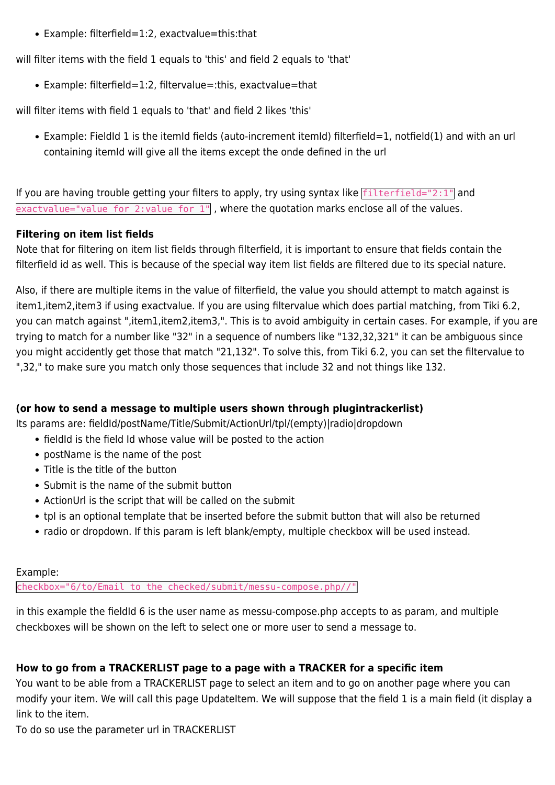• Example: filterfield=1:2, exactvalue=this:that

will filter items with the field 1 equals to 'this' and field 2 equals to 'that'

Example: filterfield=1:2, filtervalue=:this, exactvalue=that

will filter items with field 1 equals to 'that' and field 2 likes 'this'

• Example: FieldId 1 is the itemId fields (auto-increment itemId) filterfield=1, notfield(1) and with an url containing itemId will give all the items except the onde defined in the url

If you are having trouble getting your filters to apply, try using syntax like  $\frac{1}{1}$  filterfield="2:1" and  $\overline{exactvalue}$ ="value for 2:value for  $1$ ", where the quotation marks enclose all of the values.

#### **Filtering on item list fields**

Note that for filtering on item list fields through filterfield, it is important to ensure that fields contain the filterfield id as well. This is because of the special way item list fields are filtered due to its special nature.

Also, if there are multiple items in the value of filterfield, the value you should attempt to match against is item1,item2,item3 if using exactvalue. If you are using filtervalue which does partial matching, from Tiki 6.2, you can match against ",item1,item2,item3,". This is to avoid ambiguity in certain cases. For example, if you are trying to match for a number like "32" in a sequence of numbers like "132,32,321" it can be ambiguous since you might accidently get those that match "21,132". To solve this, from Tiki 6.2, you can set the filtervalue to ",32," to make sure you match only those sequences that include 32 and not things like 132.

#### **(or how to send a message to multiple users shown through plugintrackerlist)**

Its params are: fieldId/postName/Title/Submit/ActionUrl/tpl/(empty)|radio|dropdown

- fieldId is the field Id whose value will be posted to the action
- postName is the name of the post
- Title is the title of the button
- Submit is the name of the submit button
- ActionUrl is the script that will be called on the submit
- tpl is an optional template that be inserted before the submit button that will also be returned
- radio or dropdown. If this param is left blank/empty, multiple checkbox will be used instead.

#### Example:

checkbox="6/to/Email to the checked/submit/messu-compose.php//"

in this example the fieldId 6 is the user name as messu-compose.php accepts to as param, and multiple checkboxes will be shown on the left to select one or more user to send a message to.

#### **How to go from a TRACKERLIST page to a page with a TRACKER for a specific item**

You want to be able from a TRACKERLIST page to select an item and to go on another page where you can modify your item. We will call this page UpdateItem. We will suppose that the field 1 is a main field (it display a link to the item.

To do so use the parameter url in TRACKERLIST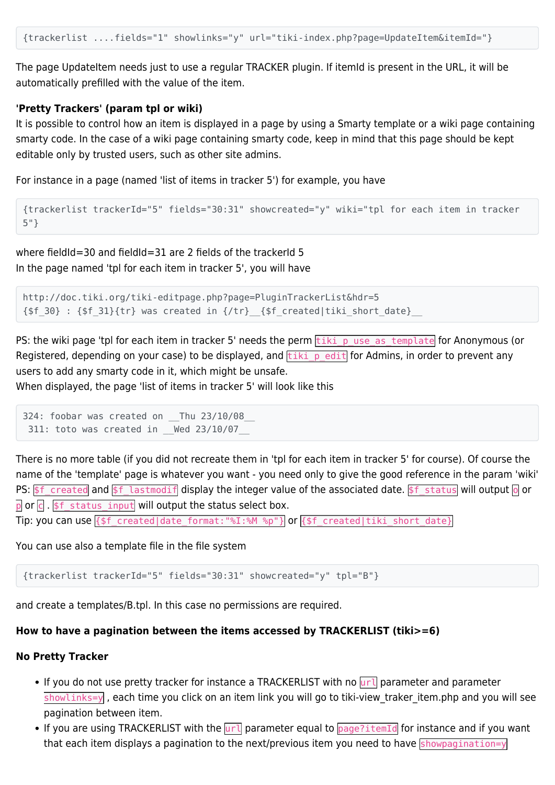The page UpdateItem needs just to use a regular TRACKER plugin. If itemId is present in the URL, it will be automatically prefilled with the value of the item.

#### **'Pretty Trackers' (param tpl or wiki)**

It is possible to control how an item is displayed in a page by using a Smarty template or a wiki page containing smarty code. In the case of a wiki page containing smarty code, keep in mind that this page should be kept editable only by trusted users, such as other site admins.

For instance in a page (named 'list of items in tracker 5') for example, you have

```
{trackerlist trackerId="5" fields="30:31" showcreated="y" wiki="tpl for each item in tracker
5"}
```
where fieldId=30 and fieldId=31 are 2 fields of the trackerId 5 In the page named 'tpl for each item in tracker 5', you will have

```
http://doc.tiki.org/tiki-editpage.php?page=PluginTrackerList&hdr=5
{\sf sfs} 30} : {\sf sfs} 31}{tr} was created in {\sf s,tr} {{\sf sfs} created|tiki short date}
```
PS: the wiki page 'tpl for each item in tracker 5' needs the perm tiki puse as template for Anonymous (or Registered, depending on your case) to be displayed, and  $\frac{t}{t}$  tiki\_p\_edit for Admins, in order to prevent any users to add any smarty code in it, which might be unsafe.

When displayed, the page 'list of items in tracker 5' will look like this

```
324: foobar was created on Thu 23/10/08
  311: toto was created in __Wed 23/10/07__
```
There is no more table (if you did not recreate them in 'tpl for each item in tracker 5' for course). Of course the name of the 'template' page is whatever you want - you need only to give the good reference in the param 'wiki' PS:  $$f$ created and $f$ lastmodify display the integer value of the associated date. $f$ status will output of or$  $\overline{p}$  or  $\overline{c}$ . \$f status input will output the status select box.

Tip: you can use {\$f\_created|date\_format:"%I:%M %p"} or {\$f\_created|tiki\_short\_date}

You can use also a template file in the file system

{trackerlist trackerId="5" fields="30:31" showcreated="y" tpl="B"}

and create a templates/B.tpl. In this case no permissions are required.

#### **How to have a pagination between the items accessed by TRACKERLIST (tiki>=6)**

#### **No Pretty Tracker**

- If you do not use pretty tracker for instance a TRACKERLIST with no  $\overline{u}$  parameter and parameter showlinks=y , each time you click on an item link you will go to tiki-view\_traker\_item.php and you will see pagination between item.
- If you are using TRACKERLIST with the  $|\overline{u}r\overline{l}|$  parameter equal to  $\overline{page?itemId}$  for instance and if you want that each item displays a pagination to the next/previous item you need to have showpagination=y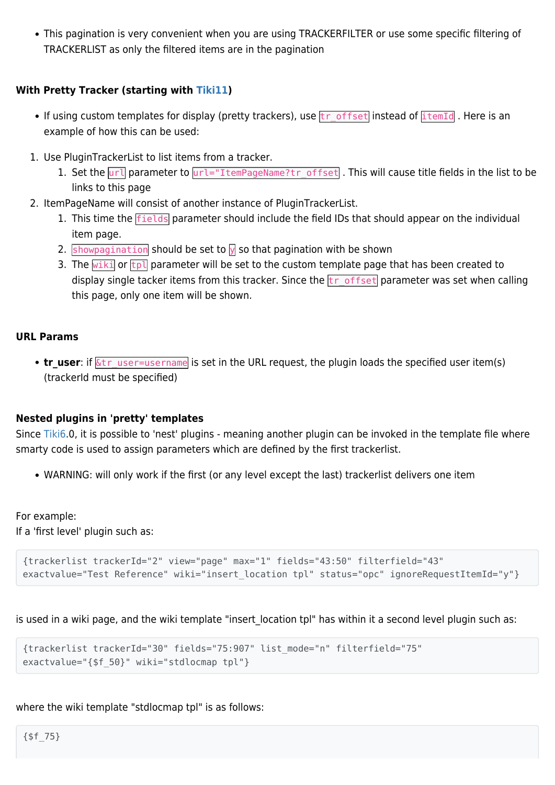This pagination is very convenient when you are using TRACKERFILTER or use some specific filtering of TRACKERLIST as only the filtered items are in the pagination

#### **With Pretty Tracker (starting with [Tiki11\)](https://doc.tiki.org/Tiki11)**

- If using custom templates for display (pretty trackers), use  $tr_{offset}$  instead of  $it_{temp}$ . Here is an example of how this can be used:
- 1. Use PluginTrackerList to list items from a tracker.
	- 1. Set the  $\overline{url}$  parameter to  $\overline{url}="ItemPageName?tr$  offset . This will cause title fields in the list to be links to this page
- 2. ItemPageName will consist of another instance of PluginTrackerList.
	- 1. This time the **fields** parameter should include the field IDs that should appear on the individual item page.
	- 2. showpagination should be set to  $\sqrt{ }$  so that pagination with be shown
	- 3. The  $\overline{w}$  or  $\overline{tp}$  parameter will be set to the custom template page that has been created to display single tacker items from this tracker. Since the  $tr_0$  of fset parameter was set when calling this page, only one item will be shown.

#### **URL Params**

• **tr\_user**: if  $\overline{\&t}$  user=username is set in the URL request, the plugin loads the specified user item(s) (trackerId must be specified)

#### **Nested plugins in 'pretty' templates**

Since [Tiki6.](https://doc.tiki.org/Tiki6)0, it is possible to 'nest' plugins - meaning another plugin can be invoked in the template file where smarty code is used to assign parameters which are defined by the first trackerlist.

WARNING: will only work if the first (or any level except the last) trackerlist delivers one item

For example: If a 'first level' plugin such as:

```
{trackerlist trackerId="2" view="page" max="1" fields="43:50" filterfield="43"
exactvalue="Test Reference" wiki="insert location tpl" status="opc" ignoreRequestItemId="y"}
```
is used in a wiki page, and the wiki template "insert location tpl" has within it a second level plugin such as:

```
{trackerlist trackerId="30" fields="75:907" list_mode="n" filterfield="75"
exactvalue="{$f_50}" wiki="stdlocmap tpl"}
```
where the wiki template "stdlocmap tpl" is as follows: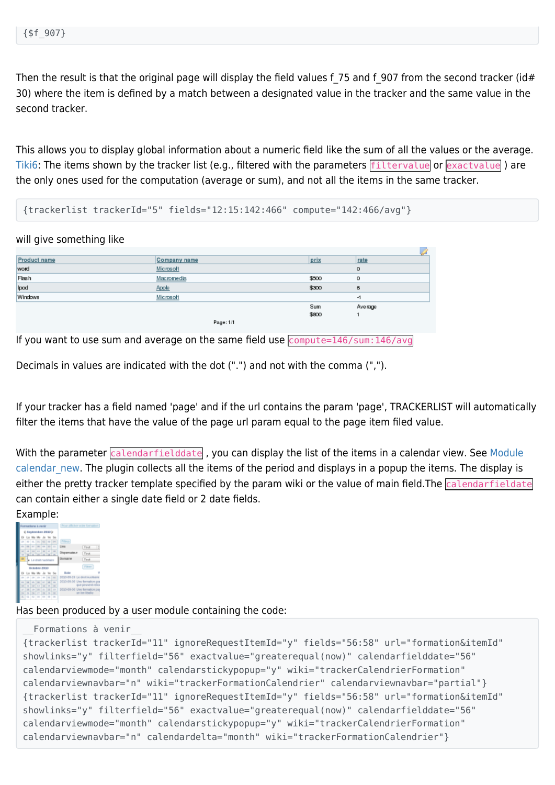Then the result is that the original page will display the field values f 75 and f 907 from the second tracker (id# 30) where the item is defined by a match between a designated value in the tracker and the same value in the second tracker.

This allows you to display global information about a numeric field like the sum of all the values or the average. [Tiki6:](https://doc.tiki.org/Tiki6) The items shown by the tracker list (e.g., filtered with the parameters *filtervalue* or **exactvalue**) are the only ones used for the computation (average or sum), and not all the items in the same tracker.

{trackerlist trackerId="5" fields="12:15:142:466" compute="142:466/avg"}

will give something like

| Product name | Company name | prix  | rate    |
|--------------|--------------|-------|---------|
| word         | Microsoft    |       | 0       |
| Flash        | Macromedia   | \$500 | o       |
| Ipod         | Apple        | \$300 | 6       |
| Windows      | Microsoft    |       | -1      |
|              |              | Sum   | Average |
|              |              | \$800 |         |
|              | Page: 1/1    |       |         |

If you want to use sum and average on the same field use  $\frac{146}{\text{sum}}$ : 146/avg

Decimals in values are indicated with the dot (".") and not with the comma (",").

If your tracker has a field named 'page' and if the url contains the param 'page', TRACKERLIST will automatically filter the items that have the value of the page url param equal to the page item filed value.

With the parameter *calendarfielddate*, you can display the list of the items in a calendar view. See [Module](https://doc.tiki.org/Module-calendar_new) calendar new. The plugin collects all the items of the period and displays in a popup the items. The display is either the pretty tracker template specified by the param wiki or the value of main field. The calendarfieldate can contain either a single date field or 2 date fields.

#### Example:



Has been produced by a user module containing the code:

```
__Formations à venir__
{trackerlist trackerId="11" ignoreRequestItemId="y" fields="56:58" url="formation&itemId"
showlinks="y" filterfield="56" exactvalue="greaterequal(now)" calendarfielddate="56"
calendarviewmode="month" calendarstickypopup="y" wiki="trackerCalendrierFormation"
calendarviewnavbar="n" wiki="trackerFormationCalendrier" calendarviewnavbar="partial"}
{trackerlist trackerId="11" ignoreRequestItemId="y" fields="56:58" url="formation&itemId"
showlinks="y" filterfield="56" exactvalue="greaterequal(now)" calendarfielddate="56"
calendarviewmode="month" calendarstickypopup="y" wiki="trackerCalendrierFormation"
calendarviewnavbar="n" calendardelta="month" wiki="trackerFormationCalendrier"}
```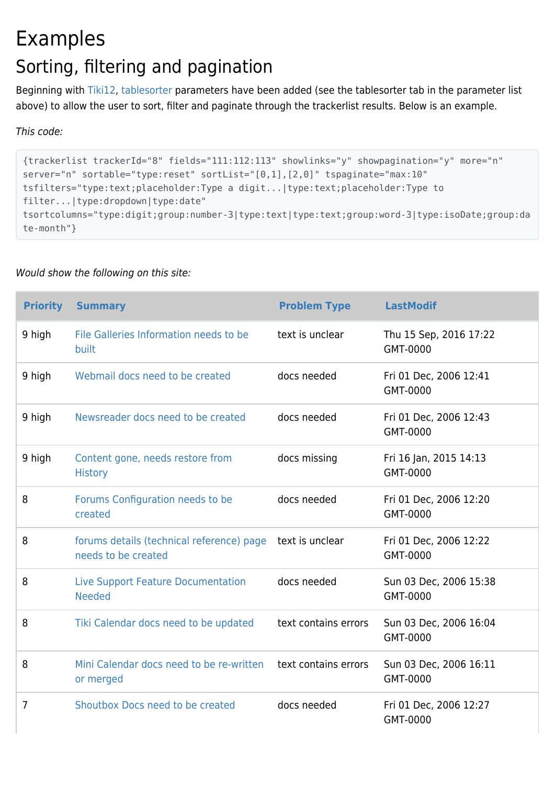## Examples Sorting, filtering and pagination

Beginning with [Tiki12,](https://doc.tiki.org/Tiki12) [tablesorter](https://doc.tiki.org/Tablesorter) parameters have been added (see the tablesorter tab in the parameter list above) to allow the user to sort, filter and paginate through the trackerlist results. Below is an example.

This code:

```
{trackerlist trackerId="8" fields="111:112:113" showlinks="y" showpagination="y" more="n"
server="n" sortable="type:reset" sortList="[0,1],[2,0]" tspaginate="max:10"
tsfilters="type:text;placeholder:Type a digit...|type:text;placeholder:Type to
filter...|type:dropdown|type:date"
tsortcolumns="type:digit;group:number-3|type:text|type:text;group:word-3|type:isoDate;group:da
te-month"}
```

| <b>Priority</b> | <b>Summary</b>                                                                   | <b>Problem Type</b>  | <b>LastModif</b>                   |
|-----------------|----------------------------------------------------------------------------------|----------------------|------------------------------------|
| 9 high          | File Galleries Information needs to be<br>built                                  | text is unclear      | Thu 15 Sep, 2016 17:22<br>GMT-0000 |
| 9 high          | Webmail docs need to be created                                                  | docs needed          | Fri 01 Dec, 2006 12:41<br>GMT-0000 |
| 9 high          | Newsreader docs need to be created                                               | docs needed          | Fri 01 Dec, 2006 12:43<br>GMT-0000 |
| 9 high          | Content gone, needs restore from<br><b>History</b>                               | docs missing         | Fri 16 Jan, 2015 14:13<br>GMT-0000 |
| 8               | Forums Configuration needs to be<br>created                                      | docs needed          | Fri 01 Dec, 2006 12:20<br>GMT-0000 |
| 8               | forums details (technical reference) page text is unclear<br>needs to be created |                      | Fri 01 Dec, 2006 12:22<br>GMT-0000 |
| 8               | Live Support Feature Documentation<br><b>Needed</b>                              | docs needed          | Sun 03 Dec, 2006 15:38<br>GMT-0000 |
| 8               | Tiki Calendar docs need to be updated                                            | text contains errors | Sun 03 Dec, 2006 16:04<br>GMT-0000 |
| 8               | Mini Calendar docs need to be re-written<br>or merged                            | text contains errors | Sun 03 Dec, 2006 16:11<br>GMT-0000 |
| 7               | Shoutbox Docs need to be created                                                 | docs needed          | Fri 01 Dec, 2006 12:27<br>GMT-0000 |

#### Would show the following on this site: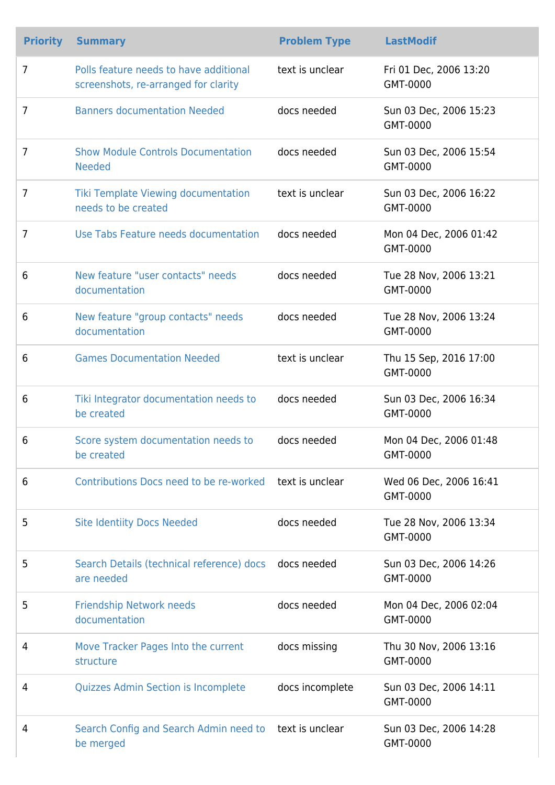| <b>Priority</b> | <b>Summary</b>                                                                 | <b>Problem Type</b> | <b>LastModif</b>                   |
|-----------------|--------------------------------------------------------------------------------|---------------------|------------------------------------|
| $\overline{7}$  | Polls feature needs to have additional<br>screenshots, re-arranged for clarity | text is unclear     | Fri 01 Dec, 2006 13:20<br>GMT-0000 |
| 7               | <b>Banners documentation Needed</b>                                            | docs needed         | Sun 03 Dec, 2006 15:23<br>GMT-0000 |
| $\overline{7}$  | <b>Show Module Controls Documentation</b><br><b>Needed</b>                     | docs needed         | Sun 03 Dec, 2006 15:54<br>GMT-0000 |
| 7               | Tiki Template Viewing documentation<br>needs to be created                     | text is unclear     | Sun 03 Dec, 2006 16:22<br>GMT-0000 |
| 7               | Use Tabs Feature needs documentation                                           | docs needed         | Mon 04 Dec, 2006 01:42<br>GMT-0000 |
| 6               | New feature "user contacts" needs<br>documentation                             | docs needed         | Tue 28 Nov, 2006 13:21<br>GMT-0000 |
| 6               | New feature "group contacts" needs<br>documentation                            | docs needed         | Tue 28 Nov, 2006 13:24<br>GMT-0000 |
| 6               | <b>Games Documentation Needed</b>                                              | text is unclear     | Thu 15 Sep, 2016 17:00<br>GMT-0000 |
| 6               | Tiki Integrator documentation needs to<br>be created                           | docs needed         | Sun 03 Dec, 2006 16:34<br>GMT-0000 |
| 6               | Score system documentation needs to<br>be created                              | docs needed         | Mon 04 Dec, 2006 01:48<br>GMT-0000 |
| 6               | Contributions Docs need to be re-worked text is unclear                        |                     | Wed 06 Dec, 2006 16:41<br>GMT-0000 |
| 5               | <b>Site Identiity Docs Needed</b>                                              | docs needed         | Tue 28 Nov, 2006 13:34<br>GMT-0000 |
| 5               | Search Details (technical reference) docs docs needed<br>are needed            |                     | Sun 03 Dec, 2006 14:26<br>GMT-0000 |
| 5               | <b>Friendship Network needs</b><br>documentation                               | docs needed         | Mon 04 Dec, 2006 02:04<br>GMT-0000 |
| 4               | Move Tracker Pages Into the current<br>structure                               | docs missing        | Thu 30 Nov, 2006 13:16<br>GMT-0000 |
| 4               | <b>Quizzes Admin Section is Incomplete</b>                                     | docs incomplete     | Sun 03 Dec, 2006 14:11<br>GMT-0000 |
| 4               | Search Config and Search Admin need to text is unclear<br>be merged            |                     | Sun 03 Dec, 2006 14:28<br>GMT-0000 |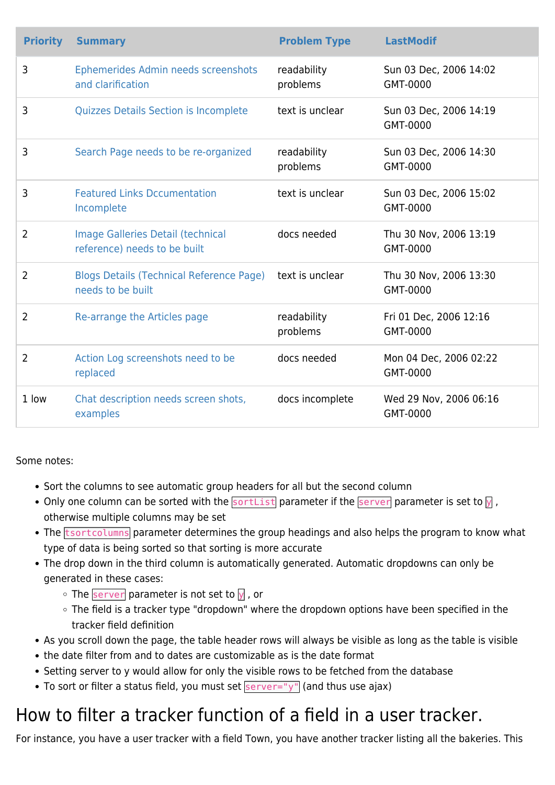| <b>Priority</b> | <b>Summary</b>                                                       | <b>Problem Type</b>     | <b>LastModif</b>                   |
|-----------------|----------------------------------------------------------------------|-------------------------|------------------------------------|
| 3               | Ephemerides Admin needs screenshots<br>and clarification             | readability<br>problems | Sun 03 Dec, 2006 14:02<br>GMT-0000 |
| 3               | <b>Quizzes Details Section is Incomplete</b>                         | text is unclear         | Sun 03 Dec, 2006 14:19<br>GMT-0000 |
| 3               | Search Page needs to be re-organized                                 | readability<br>problems | Sun 03 Dec, 2006 14:30<br>GMT-0000 |
| 3               | <b>Featured Links Dccumentation</b><br>Incomplete                    | text is unclear         | Sun 03 Dec, 2006 15:02<br>GMT-0000 |
| $\overline{2}$  | Image Galleries Detail (technical<br>reference) needs to be built    | docs needed             | Thu 30 Nov, 2006 13:19<br>GMT-0000 |
| 2               | <b>Blogs Details (Technical Reference Page)</b><br>needs to be built | text is unclear         | Thu 30 Nov, 2006 13:30<br>GMT-0000 |
| $\overline{2}$  | Re-arrange the Articles page                                         | readability<br>problems | Fri 01 Dec, 2006 12:16<br>GMT-0000 |
| 2               | Action Log screenshots need to be<br>replaced                        | docs needed             | Mon 04 Dec, 2006 02:22<br>GMT-0000 |
| 1 low           | Chat description needs screen shots,<br>examples                     | docs incomplete         | Wed 29 Nov, 2006 06:16<br>GMT-0000 |

Some notes:

- Sort the columns to see automatic group headers for all but the second column
- Only one column can be sorted with the  $\frac{|\text{sortList}|}{|\text{parameter if the }|\text{server}|}$  parameter is set to  $\frac{1}{\sqrt{2}}$ , otherwise multiple columns may be set
- The **tsortcolumns** parameter determines the group headings and also helps the program to know what type of data is being sorted so that sorting is more accurate
- The drop down in the third column is automatically generated. Automatic dropdowns can only be generated in these cases:
	- $\circ$  The server parameter is not set to  $\sqrt{ }$ , or
	- The field is a tracker type "dropdown" where the dropdown options have been specified in the tracker field definition
- As you scroll down the page, the table header rows will always be visible as long as the table is visible
- the date filter from and to dates are customizable as is the date format
- Setting server to y would allow for only the visible rows to be fetched from the database
- To sort or filter a status field, you must set  $\frac{1}{s}$  server="y" (and thus use ajax)

## How to filter a tracker function of a field in a user tracker.

For instance, you have a user tracker with a field Town, you have another tracker listing all the bakeries. This